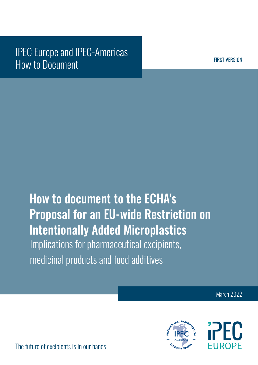## IPEC Europe and IPEC-Americas How to Document

FIRST VERSION

# How to document to the ECHA's Proposal for an EU-wide Restriction on Intentionally Added Microplastics Implications for pharmaceutical excipients, medicinal products and food additives

March 2022



The future of excipients is in our hands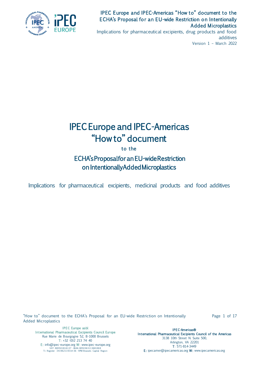

Implications for pharmaceutical excipients, drug products and food additives Version 1 – March 2022

## IPEC Europe and IPEC-Americas "How to" document

to the

## ECHA's Proposal for an EU-wide Restriction on Intentionally Added Microplastics

Implications for pharmaceutical excipients, medicinal products and food additives

"How to" document to the ECHA's Proposal for an EU-wide Restriction on Intentionally Added Microplastics

Page 1 of 17

IPEC Europe asbl In ternational Pharmaceutical Excipients Council Europe Rue Marie de Bourgogne 52, B-1000 Brussels T: +32 (0)2 213 74 40 E: info@ipec-europe.org W: www.ipec-europe.org<br>VAT: BE0501816137 - IBAN: BE50363113681818<br>Tr. Register: 341962119314-36 - RPM Brussels Capital Region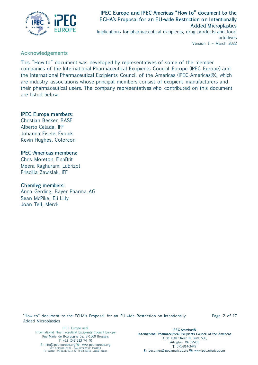

Implications for pharmaceutical excipients, drug products and food additives Version 1 – March 2022

## Acknowledgements

This "How to" document was developed by representatives of some of the member companies of the International Pharmaceutical Excipients Council Europe (IPEC Europe) and the International Pharmaceutical Excipients Council of the Americas (IPEC-Americas®), which are industry associations whose principal members consist of excipient manufacturers and their pharmaceutical users. The company representatives who contributed on this document are listed below:

## IPEC Europe members:

Christian Becker, BASF Alberto Celada, IFF Johanna Eisele, Evonik Kevin Hughes, Colorcon

## IPEC-Americas members:

Chris Moreton, FinnBrit Meera Raghuram, Lubrizol Priscilla Zawislak, IFF

## Chemleg members:

Anna Gerding, Bayer Pharma AG Sean McPike, Eli Lilly Joan Tell, Merck

"How to" document to the ECHA's Proposal for an EU-wide Restriction on Intentionally Added Microplastics

Page 2 of 17

IPEC Europe asbl In ternational Pharmaceutical Excipients Council Europe Rue Marie de Bourgogne 52, B-1000 Brussels T: +32 (0)2 213 74 40 E: info@ipec-europe.org W: www.ipec-europe.org<br>VAT: BE0501816137 - IBAN: BE50363113681818<br>Tr. Register: 341962119314-36 - RPM Brussels Capital Region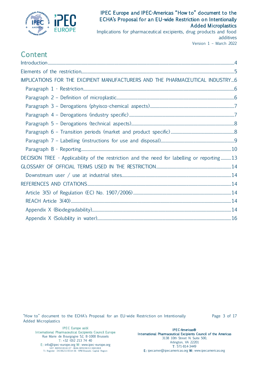

Implications for pharmaceutical excipients, drug products and food additives Version 1 – March 2022

## Content

| IMPLICATIONS FOR THE EXCIPIENT MANUFACTURERS AND THE PHARMACEUTICAL INDUSTRY6              |  |
|--------------------------------------------------------------------------------------------|--|
|                                                                                            |  |
|                                                                                            |  |
|                                                                                            |  |
|                                                                                            |  |
|                                                                                            |  |
|                                                                                            |  |
|                                                                                            |  |
|                                                                                            |  |
| DECISION TREE - Applicability of the restriction and the need for labelling or reporting13 |  |
|                                                                                            |  |
|                                                                                            |  |
|                                                                                            |  |
|                                                                                            |  |
|                                                                                            |  |
|                                                                                            |  |
|                                                                                            |  |

"How to" document to the ECHA's Proposal for an EU-wide Restriction on Intentionally Added Microplastics

Page 3 of 17

IPEC Europe asbl In ternational Pharmaceutical Excipients Council Europe Rue Marie de Bourgogne 52, B-1000 Brussels T: +32 (0)2 213 74 40 E: info@ipec-europe.org W: www.ipec-europe.org<br>VAT: BE0501816137 - IBAN: BE50363113681818<br>Tr. Register: 341962119314-36 - RPM Brussels Capital Region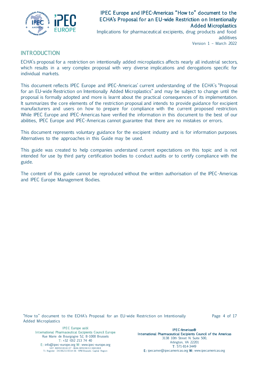

Implications for pharmaceutical excipients, drug products and food additives Version 1 – March 2022

## <span id="page-5-0"></span>INTRODUCTION

ECHA's proposal for a restriction on intentionally added microplastics affects nearly all industrial sectors, which results in a very complex proposal with very diverse implications and derogations specific for individual markets.

This document reflects IPEC Europe and IPEC-Americas' current understanding of the ECHA's "Proposal for an EU-wide Restriction on Intentionally Added Microplastics" and may be subject to change until the proposal is formally adopted and more is learnt about the practical consequences of its implementation. It summarizes the core elements of the restriction proposal and intends to provide guidance for excipient manufacturers and users on how to prepare for compliance with the current proposed restriction. While IPEC Europe and IPEC-Americas have verified the information in this document to the best of our abilities, IPEC Europe and IPEC-Americas cannot guarantee that there are no mistakes or errors.

This document represents voluntary guidance for the excipient industry and is for information purposes. Alternatives to the approaches in this Guide may be used.

This guide was created to help companies understand current expectations on this topic and is not intended for use by third party certification bodies to conduct audits or to certify compliance with the guide.

<span id="page-5-1"></span>The content of this guide cannot be reproduced without the written authorisation of the IPEC-Americas and IPEC Europe Management Bodies.

"How to" document to the ECHA's Proposal for an EU-wide Restriction on Intentionally Added Microplastics

Page 4 of 17

IPEC Europe asbl In ternational Pharmaceutical Excipients Council Europe Rue Marie de Bourgogne 52, B-1000 Brussels T: +32 (0)2 213 74 40 E: info@ipec-europe.org W: www.ipec-europe.org<br>VAT: BE0501816137 - IBAN: BE50363113681818<br>Tr. Register: 341962119314-36 - RPM Brussels Capital Region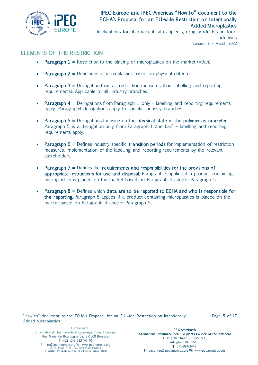

Implications for pharmaceutical excipients, drug products and food additives Version 1 – March 2022

## ELEMENTS OF THE RESTRICTION

- **Paragraph 1** = Restriction to the placing of microplastics on the market (=Ban)
- **Paragraph 2 = Definitions of microplastics based on physical criteria.**
- **Paragraph 3 =** Derogation from all restriction measures (ban, labelling and reporting requirements). Applicable to all industry branches.
- **Paragraph 4 = Derogations from Paragraph 1 only labelling and reporting requirements** apply. Paragraph4 derogations apply to specific industry branches.
- Paragraph  $5 =$  Derogations focusing on the physical state of the polymer as marketed. Paragraph 5 is a derogation only from Paragraph 1 (the ban) – labelling and reporting requirements apply.
- **Paragraph 6 =** Defines Industry specific **transition periods** for implementation of restriction measures. Implementation of the labelling and reporting requirements by the relevant stakeholders.
- Paragraph  $7 =$  Defines the requirements and responsibilities for the provisions of appropriate instructions for use and disposal. Paragraph 7 applies if a product containing microplastics is placed on the market based on Paragraph 4 and/or Paragraph 5.
- Paragraph 8 = Defines which data are to be reported to ECHA and who is responsible for the reporting. Paragraph 8 applies if a product containing microplastics is placed on the market based on Paragraph 4 and/or Paragraph 5.

"How to" document to the ECHA's Proposal for an EU-wide Restriction on Intentionally Added Microplastics

Page 5 of 17

IPEC Europe asbl In ternational Pharmaceutical Excipients Council Europe Rue Marie de Bourgogne 52, B-1000 Brussels T: +32 (0)2 213 74 40 E: info@ipec-europe.org W: www.ipec-europe.org<br>VAT: BE0501816137 - IBAN: BE50363113681818<br>Tr. Register: 341962119314-36 - RPM Brussels Capital Region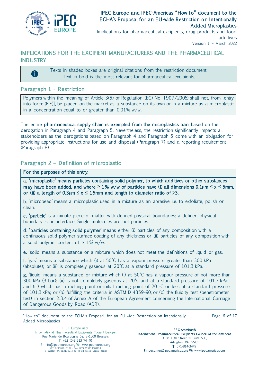

Implications for pharmaceutical excipients, drug products and food additives Version 1 – March 2022

## <span id="page-7-0"></span>IMPLICATIONS FOR THE EXCIPIENT MANUFACTURERS AND THE PHARMACEUTICAL **INDUSTRY**

Texts in shaded boxes are original citations from the restriction document. Text in bold is the most relevant for pharmaceutical excipients.

## <span id="page-7-1"></span>Paragraph 1 - Restriction

A

Polymers within the meaning of Article 3(5) of Regulation (EC) No. 1907/2006) shall not, from [entry into force (EiF)], be placed on the market as a substance on its own or in a mixture as a microplastic in a concentration equal to or greater than 0.01% w/w.

The entire pharmaceutical supply chain is exempted from the microplastics ban, based on the derogation in Paragraph 4 and Paragraph 5. Nevertheless, the restriction significantly impacts all stakeholders as the derogations based on Paragraph 4 and Paragraph 5 come with an obligation for providing appropriate instructions for use and disposal (Paragraph 7) and a reporting requirement (Paragraph 8).

## <span id="page-7-2"></span>Pa ragraph 2 – Definition of microplastic

#### For the purposes of this entry:

a. 'microplastic' means particles containing solid polymer, to which additives or other substances may have been added, and where **≥** 1% w/w of particles have (i) all dimensions 0.1**μ**m **≤** x **≤** 5mm, or (ii) a length of  $0.3 \mu m \le x \le 15$ mm and length to diameter ratio of  $>3$ .

b. 'microbead' means a microplastic used in a mixture as an abrasive i.e. to exfoliate, polish or clean.

c. 'particle' is a minute piece of matter with defined physical boundaries; a defined physical boundary is an interface. Single molecules are not particles.

d. 'particles containing solid polymer' means either (i) particles of any composition with a continuous solid polymer surface coating of any thickness or (ii) particles of any composition with a solid polymer content of  $\geq 1\%$  w/w.

e. 'solid' means a substance or a mixture which does not meet the definitions of liquid or gas.

f. 'gas' means a substance which (i) at 50°C has a vapour pressure greater than 300 kPa (absolute); or (ii) is completely gaseous at  $20^{\circ}$ C at a standard pressure of 101.3 kPa.

g. 'liquid' means a substance or mixture which (i) at 50°C has a vapour pressure of not more than 300 kPa (3 bar); (ii) is not completely gaseous at 20°C and at a standard pressure of 101.3 kPa; and (iii) which has a melting point or initial melting point of 20  $\degree$ C or less at a standard pressure of 101.3 kPa; or (b) fulfilling the criteria in ASTM D 4359-90; or (c) the fluidity test (penetrometer test) in section 2.3.4 of Annex A of the European Agreement concerning the International Carriage of Dangerous Goods by Road (ADR).

"How to" document to the ECHA's Proposal for an EU-wide Restriction on Intentionally Added Microplastics

Page 6 of 17

IPEC Europe asbl In ternational Pharmaceutical Excipients Council Europe Rue Marie de Bourgogne 52, B-1000 Brussels T: +32 (0)2 213 74 40 E: info@ipec-europe.org W: www.ipec-europe.org<br>VAT: BE0501816137 - IBAN: BE50363113681818<br>Tr. Register: 341962119314-36 - RPM Brussels Capital Region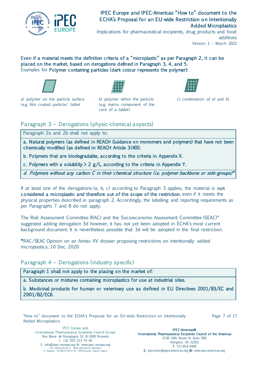

Implications for pharmaceutical excipients, drug products and food additives Version 1 – March 2022

Even if a material meets the definition criteria of a "microplastic" as per Paragraph 2, it can be placed on the market, based on derogations defined in Paragraph 3, 4, and 5. Examples for Polymer containing particles (dark colour represents the polymer):



a) polymer on the particle surface b) polymer within the particle c) combination of a) and b) (e.g. film coated particle/ tablet (e.g. matrix component of the



core of a tablet)



## <span id="page-8-0"></span>Pa ragraph 3 – Derogations (physic-chemical aspects)

Paragraph 2a and 2b shall not apply to:

a. Natural polymers (as defined in REACH Guidance on monomers and polymers) that have not been chemically modified (as defined in REACH Article 3 (40)).

b. Polymers that are biodegradable, according to the criteria in Appendix X.

c. Polymers with a solubility  $> 2$  g/L, according to the criteria in Appendix Y.

d. Polymers without any carbon C in their chemical structure (i.e. polymer backbone or side-groups)\*

If at least one of the derogations  $(a, b, c)$  according to Paragraph 3 applies, the material is **not** considered a microplastic and therefore out of the scope of the restriction, even if it meets the physical properties described in paragraph 2. Accordingly, the labelling and reporting requirements as per Paragraphs 7 and 8 do not apply.

The Risk Assessment Committee (RAC) and the Socioeconomic Assessment Committee (SEAC)\* suggested adding derogation 3d however, it has not yet been adopted in ECHA's most current background document. It is nevertheless possible that 3d will be adopted in the final restriction.

\*RAC/SEAC Opinion on an Annex XV dossier proposing restrictions on intentionally added microplastics, 10 Dec. 2020

<span id="page-8-1"></span>Paragraph 4 – Derogations (industry specific)

Paragraph 1 shall not apply to the placing on the market of:

a. Substances or mixtures containing microplastics for use at industrial sites.

b. Medicinal products for human or veterinary use as defined in EU Directives 2001/83/EC and 2001/82/EC6.

"How to" document to the ECHA's Proposal for an EU-wide Restriction on Intentionally Added Microplastics

Page 7 of 17

IPEC Europe asbl In ternational Pharmaceutical Excipients Council Europe Rue Marie de Bourgogne 52, B-1000 Brussels T: +32 (0)2 213 74 40 E: info@ipec-europe.org W: www.ipec-europe.org<br>VAT: BE0501816137 - IBAN: BE50363113681818<br>Tr. Register: 341962119314-36 - RPM Brussels Capital Region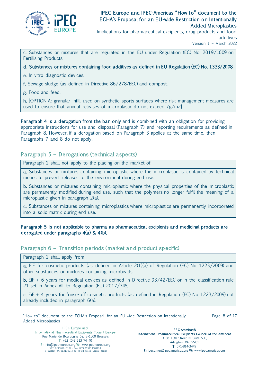

Implications for pharmaceutical excipients, drug products and food additives

Version 1 – March 2022

c. Substances or mixtures that are regulated in the EU under Regulation (EC) No. 2019/1009 on Fertilising Products.

#### d. Substances or mixtures containing food additives as defined in EU Regulation (EC) No. 1333/2008.

e. In vitro diagnostic devices.

f. Sewage sludge (as defined in Directive 86/278/EEC) and compost.

g. Food and feed.

h. [OPTION A: granular infill used on synthetic sports surfaces where risk management measures are used to ensure that annual releases of microplastic do not exceed 7g/m2]

Paragraph 4 is a derogation from the ban only and is combined with an obligation for providing appropriate instructions for use and disposal (Paragraph 7) and reporting requirements as defined in Paragraph 8. However, if a derogation based on Paragraph 3 applies at the same time, then Paragraphs 7 and 8 do not apply.

## <span id="page-9-0"></span>Pa ragraph 5 – Derogations (technical aspects)

Paragraph 1 shall not apply to the placing on the market of:

a. Substances or mixtures containing microplastic where the microplastic is contained by technical means to prevent releases to the environment during end use.

b. Substances or mixtures containing microplastic where the physical properties of the microplastic are permanently modified during end use, such that the polymers no longer fulfil the meaning of a microplastic given in paragraph 2(a).

c. Substances or mixtures containing microplastics where microplastics are permanently incorporated into a solid matrix during end use.

#### Paragraph 5 is not applicable to pharma as pharmaceutical excipients and medicinal products are derogated under paragraphs 4(a) & 4 (b).

## <span id="page-9-1"></span>Paragraph 6 – Transition periods (market and product specific)

Paragraph 1 shall apply from:

a. EiF for cosmetic products (as defined in Article 2(1)(a) of Regulation (EC) No 1223/2009) and other substances or mixtures containing microbeads.

b. EiF + 6 years for medical devices as defined in Directive 93/42/EEC or in the classification rule 21 set in Annex VIII to Regulation (EU) 2017/745.

c. EiF + 4 years for 'rinse-off' cosmetic products (as defined in Regulation (EC) No 1223/2009) not already included in paragraph 6(a).

"How to" document to the ECHA's Proposal for an EU-wide Restriction on Intentionally Added Microplastics

Page 8 of 17

IPEC Europe asbl In ternational Pharmaceutical Excipients Council Europe Rue Marie de Bourgogne 52, B-1000 Brussels T: +32 (0)2 213 74 40 E: info@ipec-europe.org W: www.ipec-europe.org<br>VAT: BE0501816137 - IBAN: BE50363113681818<br>Tr. Register: 341962119314-36 - RPM Brussels Capital Region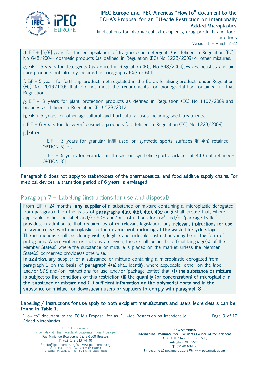

Implications for pharmaceutical excipients, drug products and food additives

Version 1 – March 2022

d. EiF + [5/8] years for the encapsulation of fragrances in detergents (as defined in Regulation (EC) No 648/2004), cosmetic products (as defined in Regulation (EC) No 1223/2009) or other mixtures.

e. EiF + 5 years for detergents (as defined in Regulation (EC) No 648/2004), waxes, polishes and air care products not already included in paragraphs 6(a) or 6(d).

f. EiF + 5 years for fertilising products not regulated in the EU as fertilising products under Regulation (EC) No 2019/1009 that do not meet the requirements for biodegradability contained in that Regulation.

g. EiF + 8 years for plant protection products as defined in Regulation (EC) No 1107/2009 and biocides as defined in Regulation (EU) 528/2012.

h. EiF + 5 years for other agricultural and horticultural uses including seed treatments.

i. EiF + 6 years for 'leave-on' cosmetic products (as defined in Regulation (EC) No 1223/2009).

j. [Either

i. EiF  $+$  3 years for granular infill used on synthetic sports surfaces (if  $4(h)$  retained – OPTION A) or,

ii. EiF  $+$  6 years for granular infill used on synthetic sports surfaces (if  $4(h)$  not retained– OPTION B)]

#### Paragraph 6 does not apply to stakeholders of the pharmaceutical and food additive supply chains. For medical devices, a transition period of 6 years is envisaged.

## <span id="page-10-0"></span>Paragraph 7 – Labelling (instructions for use and disposal)

From  $[EIF + 24$  months] any supplier of a substance or mixture containing a microplastic derogated from paragraph 1 on the basis of **paragraphs 4(a), 4(b), 4(d), 4(e)** or 5 shall ensure that, where applicable, either the label and/or SDS and/or 'instructions for use' and/or 'package leaflet' provides, in addition to that required by other relevant legislation, any relevant instructions for use to avoid releases of microplastic to the environment, including at the waste life-cycle stage. The instructions shall be clearly visible, legible and indelible. Instructions may be in the form of pictograms. Where written instructions are given, these shall be in the official language(s) of the Member State(s) where the substance or mixture is placed on the market, unless the Member State(s) concerned provide(s) otherwise.

In addition, any supplier of a substance or mixture containing a microplastic derogated from paragraph 1 on the basis of **paragraph**  $4(a)$  shall identify, where applicable, either on the label and/or SDS and/or 'instructions for use' and/or 'package leaflet' that (i) the substance or mixture is subject to the conditions of this restriction (ii) the quantity (or concentration) of microplastic in the substance or mixture and (iii) sufficient information on the polymer(s) contained in the substance or mixture for downstream users or suppliers to comply with paragraph 8.

#### Labelling / instructions for use apply to both excipient manufacturers and users. More details can be found in Table 1.

"How to" document to the ECHA's Proposal for an EU-wide Restriction on Intentionally Added Microplastics

Page 9 of 17

IPEC Europe asbl In ternational Pharmaceutical Excipients Council Europe Rue Marie de Bourgogne 52, B-1000 Brussels T: +32 (0)2 213 74 40 E: info@ipec-europe.org W: www.ipec-europe.org<br>VAT: BE0501816137 - IBAN: BE50363113681818<br>Tr. Register: 341962119314-36 - RPM Brussels Capital Region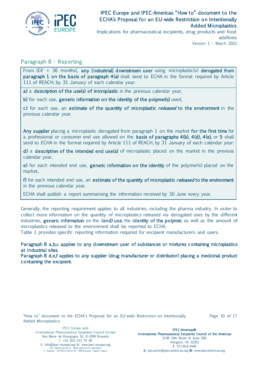

Implications for pharmaceutical excipients, drug products and food additives Version 1 – March 2022

## <span id="page-11-0"></span>Pa ragraph 8 - Reporting

From [EiF + 36 months], any [industrial] downstream user using microplastic(s) derogated from paragraph 1 on the basis of paragraph  $4(a)$  shall send to ECHA in the format required by Article 111 of REACH, by 31 January of each calendar year:

a) a description of the use(s) of microplastic in the previous calendar year,

b) for each use, generic information on the identity of the polymer(s) used,

c) for each use, an estimate of the quantity of microplastic *released* to the environment in the previous calendar year.

Any supplier placing a microplastic derogated from paragraph 1 on the market for the first time for a professional or consumer end use allowed on the basis of paragraphs  $4(b)$ ,  $4(d)$ ,  $4(e)$ , or 5 shall send to ECHA in the format required by Article 111 of REACH, by 31 January of each calendar year:

d) a description of the intended end use(s) of microplastic placed on the market in the previous calendar year,

e) for each intended end use, **generic information on the identity** of the polymer(s) placed on the market,

f) for each intended end use, an estimate of the quantity of microplastic *released* to the environment in the previous calendar year.

ECHA shall publish a report summarising the information received by 30 June every year.

Generally, the reporting requirement applies to all industries, including the pharma industry. In order to collect more information on the quantity of microplastics released via derogated uses by the different industries, generic information on the (end) use, the identity of the polymer, as well as the amount of microplastics released to the environment shall be reported to ECHA.

Table 1 provides specific reporting information required for excipient manufacturers and users.

Paragraph 8 a,b,c applies to any downstream user of substances or mixtures containing microplastics at industrial sites.

Paragraph 8 d,e,f applies to any supplier (drug manufacturer or distributor) placing a medicinal product containing the excipient.

"How to" document to the ECHA's Proposal for an EU-wide Restriction on Intentionally Added Microplastics

Page 10 of 17

IPEC Europe asbl In ternational Pharmaceutical Excipients Council Europe Rue Marie de Bourgogne 52, B-1000 Brussels T: +32 (0)2 213 74 40 E: info@ipec-europe.org W: www.ipec-europe.org<br>VAT: BE0501816137 - IBAN: BE50363113681818<br>Tr. Register: 341962119314-36 - RPM Brussels Capital Region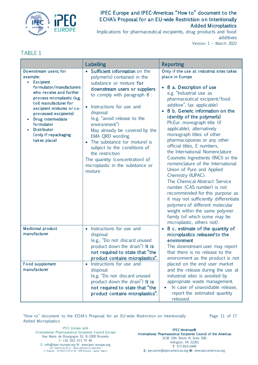

Implications for pharmaceutical excipients, drug products and food additives Version 1 – March 2022

## TABLE 1

|                                                                                                                                                                                                                                                                                                                                         | Labelling                                                                                                                                                                                                                                                                                                                                                                                                                                                                        | <b>Reporting</b>                                                                                                                                                                                                                                                                                                                                                                                                                                                                                                                                                                                                                                                                                                                                                                                                                                           |
|-----------------------------------------------------------------------------------------------------------------------------------------------------------------------------------------------------------------------------------------------------------------------------------------------------------------------------------------|----------------------------------------------------------------------------------------------------------------------------------------------------------------------------------------------------------------------------------------------------------------------------------------------------------------------------------------------------------------------------------------------------------------------------------------------------------------------------------|------------------------------------------------------------------------------------------------------------------------------------------------------------------------------------------------------------------------------------------------------------------------------------------------------------------------------------------------------------------------------------------------------------------------------------------------------------------------------------------------------------------------------------------------------------------------------------------------------------------------------------------------------------------------------------------------------------------------------------------------------------------------------------------------------------------------------------------------------------|
| Downstream users; for<br>example:<br><b>Excipient</b><br>$\bullet$<br>formulator/manufacturers<br>who receive and further<br>process microplastic (e.g.<br>toll manufacturer for<br>excipient mixtures or co-<br>processed excipients)<br>Drug intermediate<br>formulator<br><b>Distributor</b><br>(only if repackaging<br>takes place) | Sufficient information on the<br>polymer(s) contained in the<br>substance or mixture for<br>downstream users or suppliers<br>to comply with paragraph 8 :<br>• Instructions for use and<br>disposal<br>(e.g. "avoid release to the<br>environment")<br>May already be covered by the<br>EMA QRD wording.<br>• The substance (or mixture) is<br>subject to the conditions of<br>the restriction<br>The quantity (concentration) of<br>microplastic in the substance or<br>mixture | Only if the use at industrial sites takes<br>place in Europe<br>• 8 a. Description of use<br>e.g. "Industrial use as<br>pharmaceutical excipient/food<br>additive", (as applicable)<br>8 b. Generic information on the<br>identity of the polymer(s)<br>Ph.Eur. monograph title (if<br>applicable), alternatively<br>monograph titles of other<br>pharmacopoeias or any other<br>official titles, E numbers,<br>the International Nomenclature<br>Cosmetic Ingredients (INCI) or the<br>nomenclature of the International<br>Union of Pure and Applied<br>Chemistry (IUPAC).<br>The Chemical Abstract Service<br>number (CAS number) is not<br>recommended for this purpose as<br>it may not sufficiently differentiate<br>polymers of different molecular<br>weight within the same polymer<br>family (of which some may be<br>microplastic, others not). |
| <b>Medicinal product</b><br>manufacturer                                                                                                                                                                                                                                                                                                | Instructions for use and<br>$\bullet$<br>disposal<br>(e.g., "Do not discard unused<br>product down the drain") It is<br>not required to state that "the<br>product contains microplastics".                                                                                                                                                                                                                                                                                      | 8 c. estimate of the quantity of<br>microplastics released to the<br>environment<br>The downstream user may report<br>that there is no release to the<br>environment as the product is not                                                                                                                                                                                                                                                                                                                                                                                                                                                                                                                                                                                                                                                                 |
| <b>Food supplement</b><br>manufacturer                                                                                                                                                                                                                                                                                                  | Instructions for use and<br>disposal<br>(e.g. "Do not discard unused<br>product down the drain") It is<br>not required to state that "the<br>product contains microplastics".                                                                                                                                                                                                                                                                                                    | placed on the end user market<br>and the release during the use at<br>industrial sites is avoided by<br>appropriate waste management.<br>In case of unavoidable release,<br>report the estimated quantity<br>released.                                                                                                                                                                                                                                                                                                                                                                                                                                                                                                                                                                                                                                     |

"How to" document to the ECHA's Proposal for an EU-wide Restriction on Intentionally Added Microplastics

Page 11 of 17

IPEC Europe asbl In ternational Pharmaceutical Excipients Council Europe Rue Marie de Bourgogne 52, B-1000 Brussels T: +32 (0)2 213 74 40 E: info@ipec-europe.org W: www.ipec-europe.org<br>VAT: BE0501816137 - IBAN: BE50363113681818<br>Tr. Register: 341962119314-36 - RPM Brussels Capital Region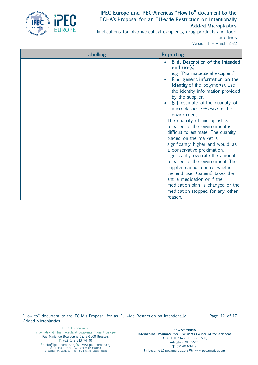

Implications for pharmaceutical excipients, drug products and food additives Version 1 – March 2022

| Labelling | <b>Reporting</b>                                                                                                                                                                                                                                                                                                                                                                                                                                                                                                                                                                                                                                                                                                                                                                  |
|-----------|-----------------------------------------------------------------------------------------------------------------------------------------------------------------------------------------------------------------------------------------------------------------------------------------------------------------------------------------------------------------------------------------------------------------------------------------------------------------------------------------------------------------------------------------------------------------------------------------------------------------------------------------------------------------------------------------------------------------------------------------------------------------------------------|
|           | 8 d. Description of the intended<br>end use(s)<br>e.g. "Pharmaceutical excipient"<br>8 e. generic information on the<br>identity of the polymer(s). Use<br>the identity information provided<br>by the supplier.<br>8 f. estimate of the quantity of<br>microplastics released to the<br>environment<br>The quantity of microplastics<br>released to the environment is<br>difficult to estimate. The quantity<br>placed on the market is<br>significantly higher and would, as<br>a conservative proximation,<br>significantly overrate the amount<br>released to the environment. The<br>supplier cannot control whether<br>the end user (patient) takes the<br>entire medication or if the<br>medication plan is changed or the<br>medication stopped for any other<br>reason. |

"How to" document to the ECHA's Proposal for an EU-wide Restriction on Intentionally Added Microplastics

Page 12 of 17

IPEC Europe asbl In ternational Pharmaceutical Excipients Council Europe Rue Marie de Bourgogne 52, B-1000 Brussels T: +32 (0)2 213 74 40 E: info@ipec-europe.org W: www.ipec-europe.org<br>VAT: BE0501816137 - IBAN: BE50363113681818<br>Tr. Register: 341962119314-36 - RPM Brussels Capital Region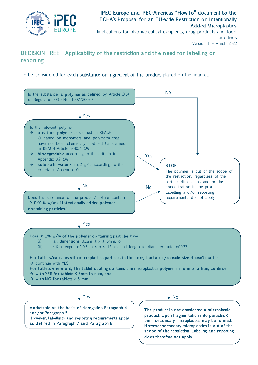

Implications for pharmaceutical excipients, drug products and food additives Version 1 – March 2022

## <span id="page-14-0"></span>DECISION TREE - Applicability of the restriction and the need for labelling or reporting

To be considered for each substance or ingredient of the product placed on the market.

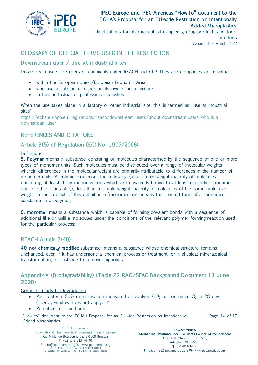

Implications for pharmaceutical excipients, drug products and food additives Version 1 – March 2022

## <span id="page-15-0"></span>GLOSSARY OF OFFICIAL TERMS USED IN THE RESTRICTION

## <span id="page-15-1"></span>Downstream user / use at industrial sites

Downstream users are users of chemicals under REACH and CLP. They are companies or individuals:

- within the European Union/European Economic Area,
- who use a substance, either on its own or in a mixture,
- in their industrial or professional activities.

When the use takes place in a factory or other industrial site, this is termed as "use at industrial sites".

[https://echa.europa.eu/regulations/reach/downstream-users/about-downstream-users/who-is-a](https://echa.europa.eu/regulations/reach/downstream-users/about-downstream-users/who-is-a-downstream-user)[downstream-user](https://echa.europa.eu/regulations/reach/downstream-users/about-downstream-users/who-is-a-downstream-user)

## <span id="page-15-2"></span>REFERENCES AND CITATIONS

## <span id="page-15-3"></span>Ar ticle 3 (5) of Regulation (EC) No. 1907/2006)

#### Definitions:

**5. Polymer:** means a substance consisting of molecules characterised by the sequence of one or more types of monomer units. Such molecules must be distributed over a range of molecular weights wherein differences in the molecular weight are primarily attributable to differences in the number of monomer units. A polymer comprises the following: (a) a simple weight majority of molecules containing at least three monomer units which are covalently bound to at least one other monomer unit or other reactant; (b) less than a simple weight majority of molecules of the same molecular weight. In the context of this definition a 'monomer unit' means the reacted form of a monomer substance in a polymer;

6 . monomer: means a substance which is capable of forming covalent bonds with a sequence of additional like or unlike molecules under the conditions of the relevant polymer-forming reaction used for the particular process;

## <span id="page-15-4"></span>REACH Ar ticle 3 (40)

40. not chemically modified substance: means a substance whose chemical structure remains unchanged, even if it has undergone a chemical process or treatment, or a physical mineralogical transformation, for instance to remove impurities.

## <span id="page-15-5"></span>Appendix X (Biodegradability) (Table 22 RAC/SEAC Background Document 11 June 2020)

#### Group 1. Ready biodegradation

- Pass criteria: 60% mineralisation measured as evolved  $CO<sub>2</sub>$  or consumed  $O<sub>2</sub>$  in 28 days (10-day window does not apply). Y
- Permitted test methods:

"How to" document to the ECHA's Proposal for an EU-wide Restriction on Intentionally Added Microplastics Page 14 of 17

IPEC Europe asbl In ternational Pharmaceutical Excipients Council Europe Rue Marie de Bourgogne 52, B-1000 Brussels T: +32 (0)2 213 74 40 E: info@ipec-europe.org W: www.ipec-europe.org<br>VAT: BE0501816137 - IBAN: BE50363113681818<br>Tr. Register: 341962119314-36 - RPM Brussels Capital Region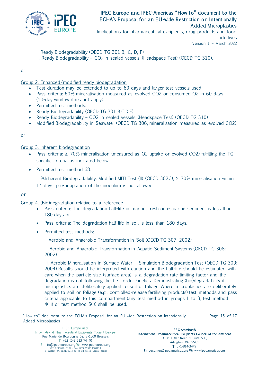

Implications for pharmaceutical excipients, drug products and food additives Version 1 – March 2022

- i. Ready Biodegradability (OECD TG 301 B, C, D, F)
- ii. Ready Biodegradability  $CO<sub>2</sub>$  in sealed vessels (Headspace Test) (OECD TG 310).

or

Group 2. Enhanced/modified ready biodegradation

- Test duration may be extended to up to 60 days and larger test vessels used
- Pass criteria: 60% mineralisation measured as evolved CO2 or consumed O2 in 60 days (10-day window does not apply)
- Permitted test methods:
- Ready Biodegradability (OECD TG 301 B,C,D,F)
- Ready Biodegradability CO2 in sealed vessels (Headspace Test) (OECD TG 310)
- Modified Biodegradability in Seawater (OECD TG 306, mineralisation measured as evolved CO2)

or

#### Group 3. Inherent biodegradation

- Pass criteria: ≥ 70% mineralisation (measured as O2 uptake or evolved CO2) fulfilling the TG specific criteria as indicated below.
- Permitted test method 68:

i. %Inherent Biodegradability: Modified MITI Test (II) (OECD 302C),  $\geq$  70% mineralisation within 14 days, pre-adaptation of the inoculum is not allowed.

or

#### Group 4. (Bio)degradation relative to a reference

- Pass criteria: The degradation half-life in marine, fresh or estuarine sediment is less than 180 days or
- Pass criteria: The degradation half-life in soil is less than 180 days.
- Permitted test methods:
	- i. Aerobic and Anaerobic Transformation in Soil (OECD TG 307: 2002)

ii. Aerobic and Anaerobic Transformation in Aquatic Sediment Systems (OECD TG 308: 2002)

iii. Aerobic Mineralisation in Surface Water - Simulation Biodegradation Test (OECD TG 309: 2004) Results should be interpreted with caution and the half-life should be estimated with care when the particle size (surface area) is a degradation rate-limiting factor and the degradation is not following the first order kinetics. Demonstrating (bio)degradability if microplastics are deliberately applied to soil or foliage Where microplastics are deliberately applied to soil or foliage (e.g., controlled-release fertilising products) test methods and pass criteria applicable to this compartment (any test method in groups 1 to 3, test method 4(iii) or test method 5(i)) shall be used.

|                     |  |  |  |  | "How to" document to the ECHA's Proposal for an EU-wide Restriction on Intentionally | Page 15 of 17 |  |  |
|---------------------|--|--|--|--|--------------------------------------------------------------------------------------|---------------|--|--|
| Added Microplastics |  |  |  |  |                                                                                      |               |  |  |

IPEC Europe asbl In ternational Pharmaceutical Excipients Council Europe Rue Marie de Bourgogne 52, B-1000 Brussels T: +32 (0)2 213 74 40 E: info@ipec-europe.org W: www.ipec-europe.org<br>VAT: BE0501816137 - IBAN: BE50363113681818<br>Tr. Register: 341962119314-36 - RPM Brussels Capital Region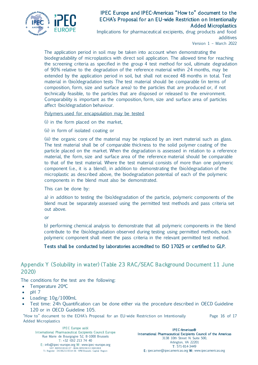

Implications for pharmaceutical excipients, drug products and food additives

Version 1 – March 2022

The application period in soil may be taken into account when demonstrating the biodegradability of microplastics with direct soil application. The allowed time for reaching the screening criteria as specified in the group 4 test method for soil, ultimate degradation of 90% relative to the degradation of the reference material within 24 months, may be extended by the application period in soil, but shall not exceed 48 months in total. Test material in (bio)degradation tests The test material should be comparable (in terms of composition, form, size and surface area) to the particles that are produced or, if not technically feasible, to the particles that are disposed or released to the environment. Comparability is important as the composition, form, size and surface area of particles affect (bio)degradation behaviour.

#### Polymers used for encapsulation may be tested

(i) in the form placed on the market,

(ii) in form of isolated coating or

(iii) the organic core of the material may be replaced by an inert material such as glass. The test material shall be of comparable thickness to the solid polymer coating of the particle placed on the market. When the degradation is assessed in relation to a reference material, the form, size and surface area of the reference material should be comparable to that of the test material. Where the test material consists of more than one polymeric component (i.e., it is a blend), in addition to demonstrating the (bio)degradation of the microplastic as described above, the biodegradation potential of each of the polymeric components in the blend must also be demonstrated.

This can be done by:

a) in addition to testing the (bio)degradation of the particle, polymeric components of the blend must be separately assessed using the permitted test methods and pass criteria set out above.

or

b) performing chemical analysis to demonstrate that all polymeric components in the blend contribute to the (bio)degradation observed during testing using permitted methods, each polymeric component shall meet the pass criteria in the relevant permitted test method.

#### Tests shall be conducted by laboratories accredited to ISO 17025 or certified to GLP.

## <span id="page-17-0"></span>Appendix Y (Solubility in wa ter) (Table 23 RAC/SEAC Background Document 11 June 2020)

The conditions for the test are the following:

- Temperature 20°C
- $\bullet$  pH  $7$
- Loading:  $10g/1000mL$
- Test time: 24h Quantification can be done either via the procedure described in OECD Guideline 120 or in OECD Guideline 105.

"How to" document to the ECHA's Proposal for an EU-wide Restriction on Intentionally Added Microplastics Page 16 of 17

IPEC Europe asbl In ternational Pharmaceutical Excipients Council Europe Rue Marie de Bourgogne 52, B-1000 Brussels T: +32 (0)2 213 74 40 E: info@ipec-europe.org W: www.ipec-europe.org<br>VAT: BE0501816137 - IBAN: BE50363113681818<br>Tr. Register: 341962119314-36 - RPM Brussels Capital Region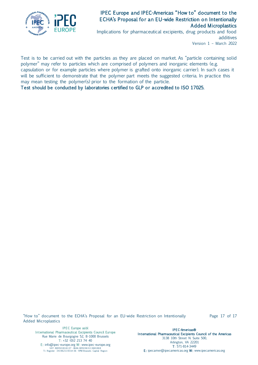

Implications for pharmaceutical excipients, drug products and food additives Version 1 – March 2022

Test is to be carried out with the particles as they are placed on market. As "particle containing solid polymer" may refer to particles which are comprised of polymers and inorganic elements (e.g. capsulation or for example particles where polymer is grafted onto inorganic carrier). In such cases it will be sufficient to demonstrate that the polymer part meets the suggested criteria. In practice this may mean testing the polymer(s) prior to the formation of the particle.

Test should be conducted by laboratories certified to GLP or accredited to ISO 17025.

"How to" document to the ECHA's Proposal for an EU-wide Restriction on Intentionally Added Microplastics

Page 17 of 17

IPEC Europe asbl In ternational Pharmaceutical Excipients Council Europe Rue Marie de Bourgogne 52, B-1000 Brussels T: +32 (0)2 213 74 40 E: info@ipec-europe.org W: www.ipec-europe.org<br>VAT: BE0501816137 - IBAN: BE50363113681818<br>Tr. Register: 341962119314-36 - RPM Brussels Capital Region